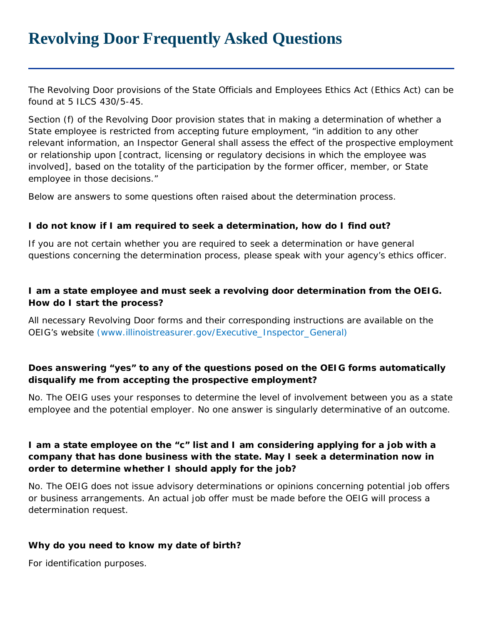# **Revolving Door Frequently Asked Questions**

The Revolving Door provisions of the State Officials and Employees Ethics Act (Ethics Act) can be found at 5 ILCS 430/5-45.

Section (f) of the Revolving Door provision states that in making a determination of whether a State employee is restricted from accepting future employment, "in addition to any other relevant information, an Inspector General shall assess the effect of the prospective employment or relationship upon [contract, licensing or regulatory decisions in which the employee was involved], based on the totality of the participation by the former officer, member, or State employee in those decisions."

Below are answers to some questions often raised about the determination process.

#### **I do not know if I am required to seek a determination, how do I find out?**

If you are not certain whether you are required to seek a determination or have general questions concerning the determination process, please speak with your agency's ethics officer.

#### **I am a state employee and must seek a revolving door determination from the OEIG. How do I start the process?**

All necessary Revolving Door forms and their corresponding instructions are available on the OEIG's website (www.illinoistreasurer.gov/Executive\_Inspector\_General)

### **Does answering "yes" to any of the questions posed on the OEIG forms automatically disqualify me from accepting the prospective employment?**

No. The OEIG uses your responses to determine the level of involvement between you as a state employee and the potential employer. No one answer is singularly determinative of an outcome.

#### **I am a state employee on the "c" list and I am considering applying for a job with a company that has done business with the state. May I seek a determination now in order to determine whether I should apply for the job?**

No. The OEIG does not issue advisory determinations or opinions concerning potential job offers or business arrangements. An actual job offer must be made before the OEIG will process a determination request.

#### **Why do you need to know my date of birth?**

For identification purposes.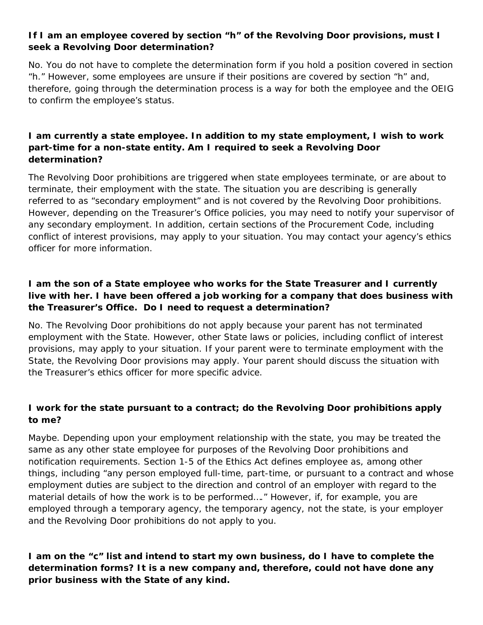# **If I am an employee covered by section "h" of the Revolving Door provisions, must I seek a Revolving Door determination?**

No. You do not have to complete the determination form if you hold a position covered in section "h." However, some employees are unsure if their positions are covered by section "h" and, therefore, going through the determination process is a way for both the employee and the OEIG to confirm the employee's status.

### **I am currently a state employee. In addition to my state employment, I wish to work part-time for a non-state entity. Am I required to seek a Revolving Door determination?**

The Revolving Door prohibitions are triggered when state employees terminate, or are about to terminate, their employment with the state. The situation you are describing is generally referred to as "secondary employment" and is not covered by the Revolving Door prohibitions. However, depending on the Treasurer's Office policies, you may need to notify your supervisor of any secondary employment. In addition, certain sections of the Procurement Code, including conflict of interest provisions, may apply to your situation. You may contact your agency's ethics officer for more information.

# **I am the son of a State employee who works for the State Treasurer and I currently live with her. I have been offered a job working for a company that does business with the Treasurer's Office. Do I need to request a determination?**

No. The Revolving Door prohibitions do not apply because your parent has not terminated employment with the State. However, other State laws or policies, including conflict of interest provisions, may apply to your situation. If your parent were to terminate employment with the State, the Revolving Door provisions may apply. Your parent should discuss the situation with the Treasurer's ethics officer for more specific advice.

### **I work for the state pursuant to a contract; do the Revolving Door prohibitions apply to me?**

Maybe. Depending upon your employment relationship with the state, you may be treated the same as any other state employee for purposes of the Revolving Door prohibitions and notification requirements. Section 1-5 of the Ethics Act defines employee as, among other things, including "any person employed full-time, part-time, or pursuant to a contract and whose employment duties are subject to the direction and control of an employer with regard to the material details of how the work is to be performed…." However, if, for example, you are employed through a temporary agency, the temporary agency, not the state, is your employer and the Revolving Door prohibitions do not apply to you.

**I am on the "c" list and intend to start my own business, do I have to complete the determination forms? It is a new company and, therefore, could not have done any prior business with the State of any kind.**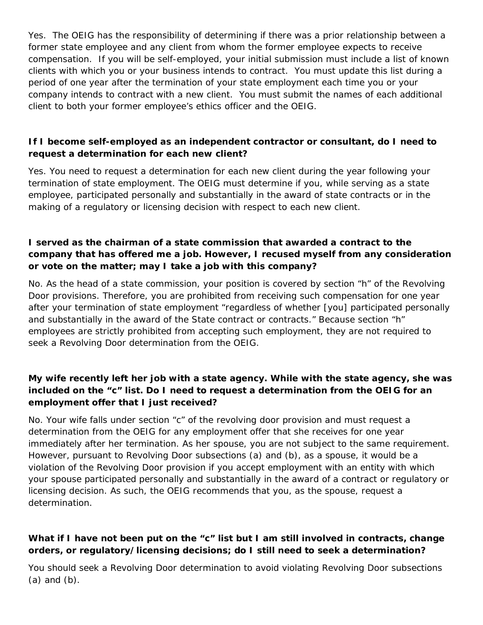Yes. The OEIG has the responsibility of determining if there was a prior relationship between a former state employee and any client from whom the former employee expects to receive compensation. If you will be self-employed, your initial submission must include a list of known clients with which you or your business intends to contract. You must update this list during a period of one year after the termination of your state employment each time you or your company intends to contract with a new client. You must submit the names of each additional client to both your former employee's ethics officer and the OEIG.

### **If I become self-employed as an independent contractor or consultant, do I need to request a determination for each new client?**

Yes. You need to request a determination for each new client during the year following your termination of state employment. The OEIG must determine if you, while serving as a state employee, participated personally and substantially in the award of state contracts or in the making of a regulatory or licensing decision with respect to each new client.

#### **I served as the chairman of a state commission that awarded a contract to the company that has offered me a job. However, I recused myself from any consideration or vote on the matter; may I take a job with this company?**

No. As the head of a state commission, your position is covered by section "h" of the Revolving Door provisions. Therefore, you are prohibited from receiving such compensation for one year after your termination of state employment "regardless of whether [you] participated personally and substantially in the award of the State contract or contracts." Because section "h" employees are strictly prohibited from accepting such employment, they are not required to seek a Revolving Door determination from the OEIG.

### **My wife recently left her job with a state agency. While with the state agency, she was included on the "c" list. Do I need to request a determination from the OEIG for an employment offer that I just received?**

No. Your wife falls under section "c" of the revolving door provision and must request a determination from the OEIG for any employment offer that she receives for one year immediately after her termination. As her spouse, you are not subject to the same requirement. However, pursuant to Revolving Door subsections (a) and (b), as a spouse, it would be a violation of the Revolving Door provision if you accept employment with an entity with which your spouse participated personally and substantially in the award of a contract or regulatory or licensing decision. As such, the OEIG recommends that you, as the spouse, request a determination.

### **What if I have not been put on the "c" list but I am still involved in contracts, change orders, or regulatory/licensing decisions; do I still need to seek a determination?**

You should seek a Revolving Door determination to avoid violating Revolving Door subsections (a) and (b).